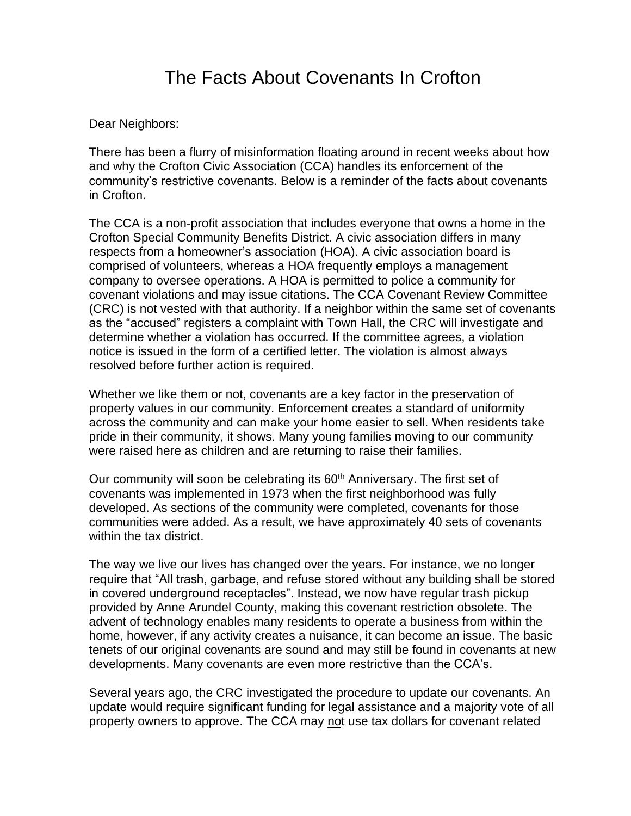# The Facts About Covenants In Crofton

Dear Neighbors:

There has been a flurry of misinformation floating around in recent weeks about how and why the Crofton Civic Association (CCA) handles its enforcement of the community's restrictive covenants. Below is a reminder of the facts about covenants in Crofton.

The CCA is a non-profit association that includes everyone that owns a home in the Crofton Special Community Benefits District. A civic association differs in many respects from a homeowner's association (HOA). A civic association board is comprised of volunteers, whereas a HOA frequently employs a management company to oversee operations. A HOA is permitted to police a community for covenant violations and may issue citations. The CCA Covenant Review Committee (CRC) is not vested with that authority. If a neighbor within the same set of covenants as the "accused" registers a complaint with Town Hall, the CRC will investigate and determine whether a violation has occurred. If the committee agrees, a violation notice is issued in the form of a certified letter. The violation is almost always resolved before further action is required.

Whether we like them or not, covenants are a key factor in the preservation of property values in our community. Enforcement creates a standard of uniformity across the community and can make your home easier to sell. When residents take pride in their community, it shows. Many young families moving to our community were raised here as children and are returning to raise their families.

Our community will soon be celebrating its 60<sup>th</sup> Anniversary. The first set of covenants was implemented in 1973 when the first neighborhood was fully developed. As sections of the community were completed, covenants for those communities were added. As a result, we have approximately 40 sets of covenants within the tax district.

The way we live our lives has changed over the years. For instance, we no longer require that "All trash, garbage, and refuse stored without any building shall be stored in covered underground receptacles". Instead, we now have regular trash pickup provided by Anne Arundel County, making this covenant restriction obsolete. The advent of technology enables many residents to operate a business from within the home, however, if any activity creates a nuisance, it can become an issue. The basic tenets of our original covenants are sound and may still be found in covenants at new developments. Many covenants are even more restrictive than the CCA's.

Several years ago, the CRC investigated the procedure to update our covenants. An update would require significant funding for legal assistance and a majority vote of all property owners to approve. The CCA may not use tax dollars for covenant related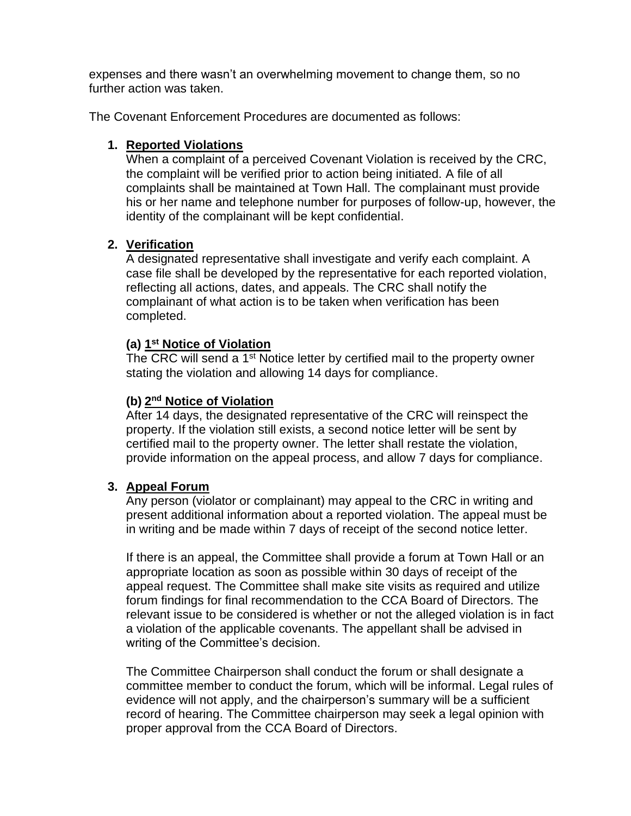expenses and there wasn't an overwhelming movement to change them, so no further action was taken.

The Covenant Enforcement Procedures are documented as follows:

## **1. Reported Violations**

When a complaint of a perceived Covenant Violation is received by the CRC, the complaint will be verified prior to action being initiated. A file of all complaints shall be maintained at Town Hall. The complainant must provide his or her name and telephone number for purposes of follow-up, however, the identity of the complainant will be kept confidential.

## **2. Verification**

A designated representative shall investigate and verify each complaint. A case file shall be developed by the representative for each reported violation, reflecting all actions, dates, and appeals. The CRC shall notify the complainant of what action is to be taken when verification has been completed.

## **(a) 1 st Notice of Violation**

The CRC will send a 1<sup>st</sup> Notice letter by certified mail to the property owner stating the violation and allowing 14 days for compliance.

## **(b) 2 nd Notice of Violation**

After 14 days, the designated representative of the CRC will reinspect the property. If the violation still exists, a second notice letter will be sent by certified mail to the property owner. The letter shall restate the violation, provide information on the appeal process, and allow 7 days for compliance.

### **3. Appeal Forum**

Any person (violator or complainant) may appeal to the CRC in writing and present additional information about a reported violation. The appeal must be in writing and be made within 7 days of receipt of the second notice letter.

If there is an appeal, the Committee shall provide a forum at Town Hall or an appropriate location as soon as possible within 30 days of receipt of the appeal request. The Committee shall make site visits as required and utilize forum findings for final recommendation to the CCA Board of Directors. The relevant issue to be considered is whether or not the alleged violation is in fact a violation of the applicable covenants. The appellant shall be advised in writing of the Committee's decision.

The Committee Chairperson shall conduct the forum or shall designate a committee member to conduct the forum, which will be informal. Legal rules of evidence will not apply, and the chairperson's summary will be a sufficient record of hearing. The Committee chairperson may seek a legal opinion with proper approval from the CCA Board of Directors.